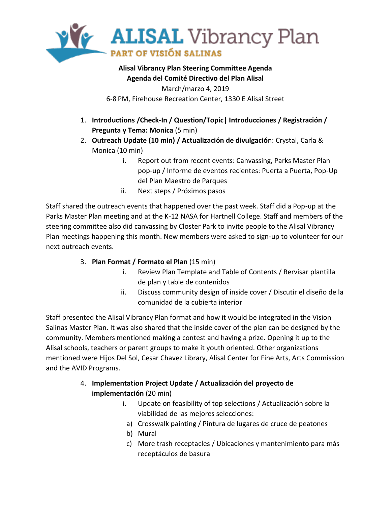

## **Alisal Vibrancy Plan Steering Committee Agenda Agenda del Comité Directivo del Plan Alisal** March/marzo 4, 2019 6-8 PM, Firehouse Recreation Center, 1330 E Alisal Street

- 1. **Introductions /Check-In / Question/Topic| Introducciones / Registración / Pregunta y Tema: Monica** (5 min)
- 2. **Outreach Update (10 min) / Actualización de divulgació**n: Crystal, Carla & Monica (10 min)
	- i. Report out from recent events: Canvassing, Parks Master Plan pop-up / Informe de eventos recientes: Puerta a Puerta, Pop-Up del Plan Maestro de Parques
	- ii. Next steps / Próximos pasos

Staff shared the outreach events that happened over the past week. Staff did a Pop-up at the Parks Master Plan meeting and at the K-12 NASA for Hartnell College. Staff and members of the steering committee also did canvassing by Closter Park to invite people to the Alisal Vibrancy Plan meetings happening this month. New members were asked to sign-up to volunteer for our next outreach events.

- 3. **Plan Format / Formato el Plan** (15 min)
	- i. Review Plan Template and Table of Contents / Rervisar plantilla de plan y table de contenidos
	- ii. Discuss community design of inside cover / Discutir el diseño de la comunidad de la cubierta interior

Staff presented the Alisal Vibrancy Plan format and how it would be integrated in the Vision Salinas Master Plan. It was also shared that the inside cover of the plan can be designed by the community. Members mentioned making a contest and having a prize. Opening it up to the Alisal schools, teachers or parent groups to make it youth oriented. Other organizations mentioned were Hijos Del Sol, Cesar Chavez Library, Alisal Center for Fine Arts, Arts Commission and the AVID Programs.

- 4. **Implementation Project Update / Actualización del proyecto de implementación** (20 min)
	- i. Update on feasibility of top selections / Actualización sobre la viabilidad de las mejores selecciones:
	- a) Crosswalk painting / Pintura de lugares de cruce de peatones
	- b) Mural
	- c) More trash receptacles / Ubicaciones y mantenimiento para más receptáculos de basura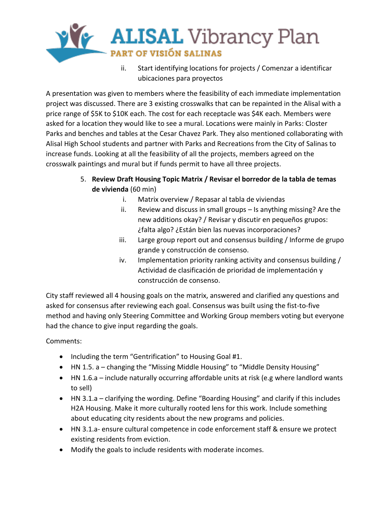

ii. Start identifying locations for projects / Comenzar a identificar ubicaciones para proyectos

A presentation was given to members where the feasibility of each immediate implementation project was discussed. There are 3 existing crosswalks that can be repainted in the Alisal with a price range of \$5K to \$10K each. The cost for each receptacle was \$4K each. Members were asked for a location they would like to see a mural. Locations were mainly in Parks: Closter Parks and benches and tables at the Cesar Chavez Park. They also mentioned collaborating with Alisal High School students and partner with Parks and Recreations from the City of Salinas to increase funds. Looking at all the feasibility of all the projects, members agreed on the crosswalk paintings and mural but if funds permit to have all three projects.

- 5. **Review Draft Housing Topic Matrix / Revisar el borredor de la tabla de temas de vivienda** (60 min)
	- i. Matrix overview / Repasar al tabla de viviendas
	- ii. Review and discuss in small groups Is anything missing? Are the new additions okay? / Revisar y discutir en pequeños grupos: ¿falta algo? ¿Están bien las nuevas incorporaciones?
	- iii. Large group report out and consensus building / Informe de grupo grande y construcción de consenso.
	- iv. Implementation priority ranking activity and consensus building / Actividad de clasificación de prioridad de implementación y construcción de consenso.

City staff reviewed all 4 housing goals on the matrix, answered and clarified any questions and asked for consensus after reviewing each goal. Consensus was built using the fist-to-five method and having only Steering Committee and Working Group members voting but everyone had the chance to give input regarding the goals.

Comments:

- Including the term "Gentrification" to Housing Goal #1.
- HN 1.5. a changing the "Missing Middle Housing" to "Middle Density Housing"
- HN 1.6.a include naturally occurring affordable units at risk (e.g where landlord wants to sell)
- HN 3.1.a clarifying the wording. Define "Boarding Housing" and clarify if this includes H2A Housing. Make it more culturally rooted lens for this work. Include something about educating city residents about the new programs and policies.
- HN 3.1.a- ensure cultural competence in code enforcement staff & ensure we protect existing residents from eviction.
- Modify the goals to include residents with moderate incomes.